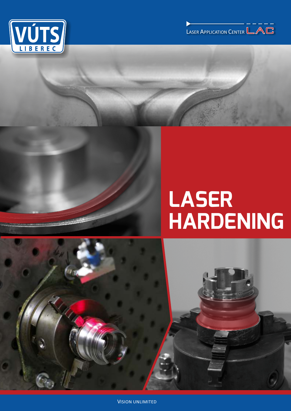



# LASER<br>HARDENING



**VISION UNLIMITED**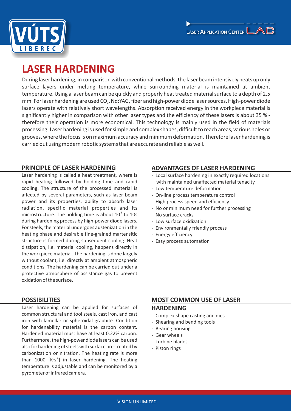



# **LASER HARDENING**

During laser hardening, in comparison with conventional methods, the laser beam intensively heats up only surface layers under melting temperature, while surrounding material is maintained at ambient temperature. Using a laser beam can be quickly and properly heat treated material surface to a depth of 2.5 mm. For laser hardening are used CO<sub>2</sub>, Nd:YAG, fiber and high-power diode laser sources. High-power diode lasers operate with relatively short wavelengths. Absorption received energy in the workpiece material is significantly higher in comparison with other laser types and the efficiency of these lasers is about 35 % ‐ therefore their operation is more economical. This technology is mainly used in the field of materials processing. Laser hardening is used for simple and complex shapes, difficult to reach areas, various holes or grooves, where the focus is on maximum accuracy and minimum deformation. Therefore laser hardening is carried out using modern robotic systems that are accurate and reliable as well.

# **PRINCIPLE OF LASER HARDENING**

Laser hardening is called a heat treatment, where is rapid heating followed by holding time and rapid cooling. The structure of the processed material is affected by several parameters, such as laser beam power and its properties, ability to absorb laser radiation, specific material properties and its microstructure. The holding time is about  $10<sup>3</sup>$  to 10s during hardening process by high‐power diode lasers. For steels, the material undergoes austenization in the heating phase and desirable fine‐grained martensitic structure is formed during subsequent cooling. Heat dissipation, i.e. material cooling, happens directly in the workpiece material. The hardening is done largely without coolant, i.e. directly at ambient atmospheric conditions. The hardening can be carried out under a protective atmosphere of assistance gas to prevent oxidation of the surface.

# **POSSIBILITIES**

Laser hardening can be applied for surfaces of common structural and tool steels, cast iron, and cast iron with lamellar or spheroidal graphite. Condition for hardenability material is the carbon content. Hardened material must have at least 0.22% carbon. Furthermore, the high‐power diode lasers can be used also for hardening of steels with surface pre‐treated by carbonization or nitration. The heating rate is more than 1000  $[K·s<sup>-1</sup>]$  in laser hardening. The heating temperature is adjustable and can be monitored by a pyrometer of infrared camera.

# **ADVANTAGES OF LASER HARDENING**

- ‐ Local surface hardening in exactly required locations with maintained unaffected material tenacity
- ‐ Low temperature deformation
- ‐ On‐line process temperature control
- ‐ High process speed and efficiency
- ‐ No or minimum need for further processing
- ‐ No surface cracks
- ‐ Low surface oxidization
- ‐ Environmentally friendly process
- ‐ Energy efficiency
- ‐ Easy process automation

# **MOST COMMON USE OF LASER**

# **HARDENING**

- ‐ Complex shape casting and dies
- ‐ Shearing and bending tools
- ‐ Bearing housing
- ‐ Gear wheels
- ‐ Turbine blades
- ‐ Piston rings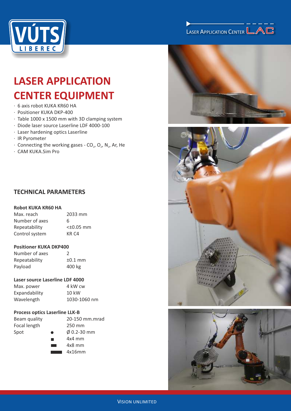

# LASER APPLICATION CENTER

# **LASER APPLICATION CENTER EQUIPMENT**

- · 6 axis robot KUKA KR60 HA
- · Positioner KUKA DKP‐400
- · Table 1000 x 1500 mm with 3D clamping system
- · Diode laser source Laserline LDF 4000‐100
- · Laser hardening optics Laserline
- · IR Pyrometer
- $\cdot$  Connecting the working gases CO<sub>2</sub>, O<sub>2</sub>, N<sub>2</sub>, Ar, He
- · CAM KUKA.Sim Pro

# **TECHNICAL PARAMETERS**

# **Robot KUKA KR60 HA**

| Max. reach     | 2033 mm          |
|----------------|------------------|
| Number of axes | 6                |
| Repeatability  | $<$ +0.05 mm     |
| Control system | KR <sub>C4</sub> |

## **Positioner KUKA DKP400**

| Number of axes | $\mathcal{L}$ |
|----------------|---------------|
| Repeatability  | $±0.1$ mm     |
| Payload        | 400 kg        |

## **Laser source Laserline LDF 4000**

| Max. power    | 4 kW cw         |
|---------------|-----------------|
| Expandability | $10 \text{ kW}$ |
| Wavelength    | 1030-1060 nm    |

## **Process optics Laserline LLK‐B**

| Beam quality     |  |
|------------------|--|
| Focal length     |  |
| $S_{\text{nat}}$ |  |

20-150 mm.mrad  $250$  mm Spot ● Ø 0.2-30 mm 4x4 mm

- 4x8 mm
- 4x16mm